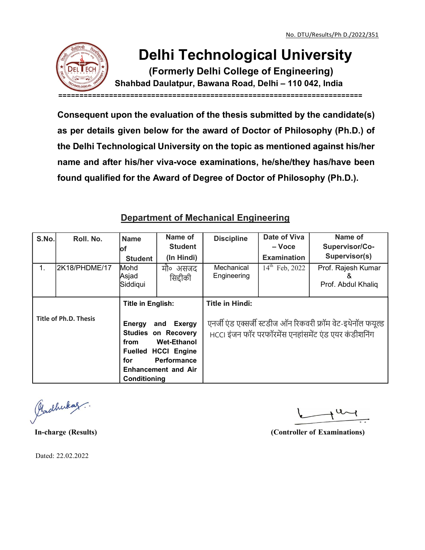

## Delhi Technological University

(Formerly Delhi College of Engineering)

Shahbad Daulatpur, Bawana Road, Delhi – 110 042, India

========================================================================

Consequent upon the evaluation of the thesis submitted by the candidate(s) as per details given below for the award of Doctor of Philosophy (Ph.D.) of the Delhi Technological University on the topic as mentioned against his/her name and after his/her viva-voce examinations, he/she/they has/have been found qualified for the Award of Degree of Doctor of Philosophy (Ph.D.).

## Department of Mechanical Engineering

|                              |                                                                          |                                                                                                                      |                                           |                                                                                                                      |                        | the Delhi Technological University on the topic as mentioned against his/her |  |  |
|------------------------------|--------------------------------------------------------------------------|----------------------------------------------------------------------------------------------------------------------|-------------------------------------------|----------------------------------------------------------------------------------------------------------------------|------------------------|------------------------------------------------------------------------------|--|--|
|                              |                                                                          |                                                                                                                      |                                           |                                                                                                                      |                        | name and after his/her viva-voce examinations, he/she/they has/have been     |  |  |
|                              | found qualified for the Award of Degree of Doctor of Philosophy (Ph.D.). |                                                                                                                      |                                           |                                                                                                                      |                        |                                                                              |  |  |
|                              |                                                                          |                                                                                                                      |                                           |                                                                                                                      |                        |                                                                              |  |  |
|                              |                                                                          | <b>Department of Mechanical Engineering</b>                                                                          |                                           |                                                                                                                      |                        |                                                                              |  |  |
| S.No.                        | Roll. No.                                                                | <b>Name</b><br>of                                                                                                    | Name of<br><b>Student</b>                 | <b>Discipline</b>                                                                                                    | Date of Viva<br>– Voce | Name of<br>Supervisor/Co-                                                    |  |  |
|                              |                                                                          | <b>Student</b>                                                                                                       | (In Hindi)                                |                                                                                                                      | <b>Examination</b>     | Supervisor(s)                                                                |  |  |
| 1.                           | 2K18/PHDME/17                                                            | Mohd<br>Asjad<br>Siddiqui                                                                                            | मौ० असजद<br>सिद्दीकी                      | Mechanical<br>Engineering                                                                                            | $14^{th}$ Feb, 2022    | Prof. Rajesh Kumar<br>Prof. Abdul Khaliq                                     |  |  |
|                              |                                                                          | Title in English:                                                                                                    |                                           | <b>Title in Hindi:</b>                                                                                               |                        |                                                                              |  |  |
| <b>Title of Ph.D. Thesis</b> |                                                                          | Exergy<br>Energy<br>and<br><b>Studies on Recovery</b><br><b>Wet-Ethanol</b><br>from<br><b>HCCI Engine</b><br>Fuelled |                                           | एनर्जी एंड एक्सर्जी स्टडीज ऑन रिकवरी फ्रॉम वेट-इथेनॉल फयूल्ड<br>HCCI इंजन फॉर परफॉरमेंस एनहांसमेंट एंड एयर कंडीशनिंग |                        |                                                                              |  |  |
|                              |                                                                          | for                                                                                                                  | Performance<br><b>Enhancement and Air</b> |                                                                                                                      |                        |                                                                              |  |  |
|                              |                                                                          | Conditioning                                                                                                         |                                           |                                                                                                                      |                        |                                                                              |  |  |

Plachukaz.

In-charge (Results) (Controller of Examinations)

Dated: 22.02.2022